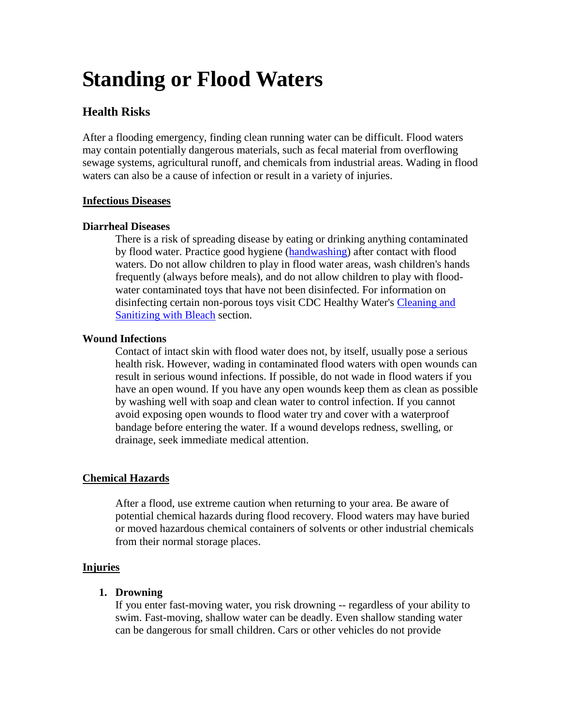# **Standing or Flood Waters**

# **Health Risks**

After a flooding emergency, finding clean running water can be difficult. Flood waters may contain potentially dangerous materials, such as fecal material from overflowing sewage systems, agricultural runoff, and chemicals from industrial areas. Wading in flood waters can also be a cause of infection or result in a variety of injuries.

# **Infectious Diseases**

#### **Diarrheal Diseases**

There is a risk of spreading disease by eating or drinking anything contaminated by flood water. Practice good hygiene [\(handwashing\)](http://www.cdc.gov/healthywater/emergency/hygiene/index.html#handwashing) after contact with flood waters. Do not allow children to play in flood water areas, wash children's hands frequently (always before meals), and do not allow children to play with floodwater contaminated toys that have not been disinfected. For information on disinfecting certain non-porous toys visit CDC Healthy Water's [Cleaning and](http://www.cdc.gov/healthywater/emergency/hygiene/index.html#bleach)  [Sanitizing with Bleach](http://www.cdc.gov/healthywater/emergency/hygiene/index.html#bleach) section.

# **Wound Infections**

Contact of intact skin with flood water does not, by itself, usually pose a serious health risk. However, wading in contaminated flood waters with open wounds can result in serious wound infections. If possible, do not wade in flood waters if you have an open wound. If you have any open wounds keep them as clean as possible by washing well with soap and clean water to control infection. If you cannot avoid exposing open wounds to flood water try and cover with a waterproof bandage before entering the water. If a wound develops redness, swelling, or drainage, seek immediate medical attention.

#### **Chemical Hazards**

 After a flood, use extreme caution when returning to your area. Be aware of potential chemical hazards during flood recovery. Flood waters may have buried or moved hazardous chemical containers of solvents or other industrial chemicals from their normal storage places.

#### **Injuries**

#### **1. Drowning**

If you enter fast-moving water, you risk drowning -- regardless of your ability to swim. Fast-moving, shallow water can be deadly. Even shallow standing water can be dangerous for small children. Cars or other vehicles do not provide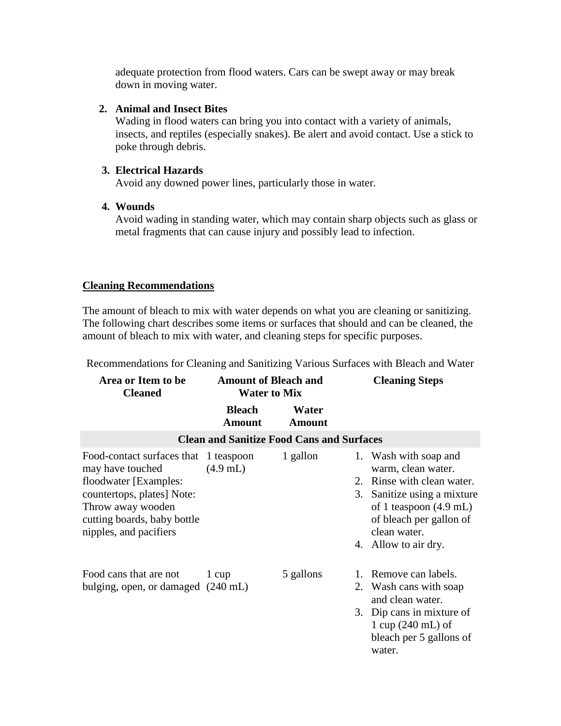adequate protection from flood waters. Cars can be swept away or may break down in moving water.

#### **2. Animal and Insect Bites**

Wading in flood waters can bring you into contact with a variety of animals, insects, and reptiles (especially snakes). Be alert and avoid contact. Use a stick to poke through debris.

# **3. Electrical Hazards**

Avoid any downed power lines, particularly those in water.

# **4. Wounds**

Avoid wading in standing water, which may contain sharp objects such as glass or metal fragments that can cause injury and possibly lead to infection.

# **Cleaning Recommendations**

The amount of bleach to mix with water depends on what you are cleaning or sanitizing. The following chart describes some items or surfaces that should and can be cleaned, the amount of bleach to mix with water, and cleaning steps for specific purposes.

| Area or Item to be<br><b>Cleaned</b>                                                                                                                                                           | <b>Amount of Bleach and</b><br><b>Water to Mix</b> |                        |  | <b>Cleaning Steps</b>                                                                                                                                                                                           |  |  |  |  |  |
|------------------------------------------------------------------------------------------------------------------------------------------------------------------------------------------------|----------------------------------------------------|------------------------|--|-----------------------------------------------------------------------------------------------------------------------------------------------------------------------------------------------------------------|--|--|--|--|--|
|                                                                                                                                                                                                | <b>Bleach</b><br><b>Amount</b>                     | Water<br><b>Amount</b> |  |                                                                                                                                                                                                                 |  |  |  |  |  |
| <b>Clean and Sanitize Food Cans and Surfaces</b>                                                                                                                                               |                                                    |                        |  |                                                                                                                                                                                                                 |  |  |  |  |  |
| Food-contact surfaces that 1 teaspoon<br>may have touched<br>floodwater [Examples:<br>countertops, plates] Note:<br>Throw away wooden<br>cutting boards, baby bottle<br>nipples, and pacifiers | $(4.9$ mL)                                         | 1 gallon               |  | 1. Wash with soap and<br>warm, clean water.<br>2. Rinse with clean water.<br>3. Sanitize using a mixture<br>of 1 teaspoon $(4.9 \text{ mL})$<br>of bleach per gallon of<br>clean water.<br>4. Allow to air dry. |  |  |  |  |  |
| Food cans that are not<br>bulging, open, or damaged (240 mL)                                                                                                                                   | 1 cup                                              | 5 gallons              |  | 1. Remove can labels.<br>2. Wash cans with soap<br>and clean water.<br>3. Dip cans in mixture of<br>1 cup $(240 \text{ mL})$ of<br>bleach per 5 gallons of<br>water.                                            |  |  |  |  |  |

Recommendations for Cleaning and Sanitizing Various Surfaces with Bleach and Water